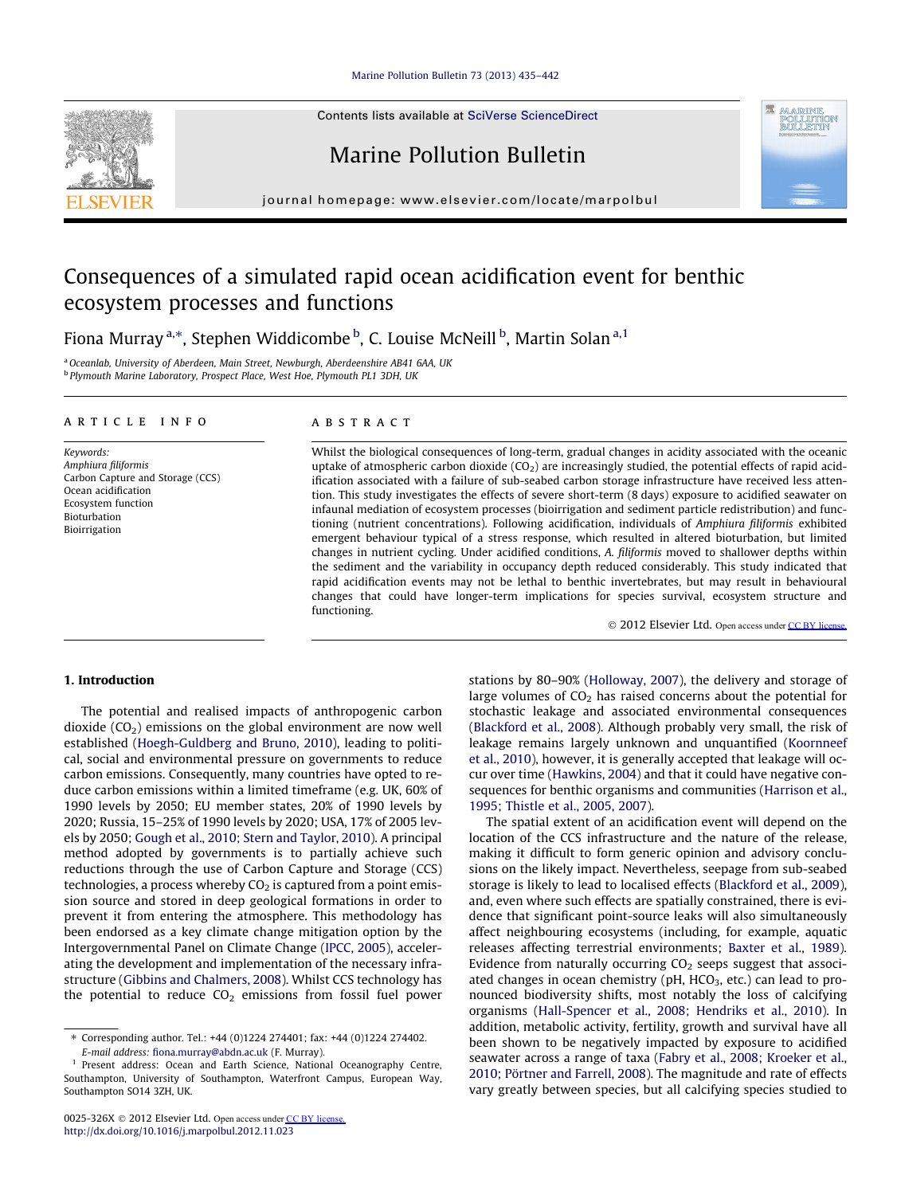# [Marine Pollution Bulletin 73 \(2013\) 435–442](http://dx.doi.org/10.1016/j.marpolbul.2012.11.023)

Contents lists available at [SciVerse ScienceDirect](http://www.sciencedirect.com/science/journal/0025326X)

# Marine Pollution Bulletin

journal homepage: [www.elsevier.com/locate/marpolbul](http://www.elsevier.com/locate/marpolbul)

# Consequences of a simulated rapid ocean acidification event for benthic ecosystem processes and functions

Fiona Murray <sup>a,</sup>\*, Stephen Widdicombe <sup>b</sup>, C. Louise McNeill <sup>b</sup>, Martin Solan <sup>a,1</sup>

<sup>a</sup> Oceanlab, University of Aberdeen, Main Street, Newburgh, Aberdeenshire AB41 6AA, UK <sup>b</sup> Plymouth Marine Laboratory, Prospect Place, West Hoe, Plymouth PL1 3DH, UK

#### article info

Keywords: Amphiura filiformis Carbon Capture and Storage (CCS) Ocean acidification Ecosystem function Bioturbation Bioirrigation

#### **ABSTRACT**

Whilst the biological consequences of long-term, gradual changes in acidity associated with the oceanic uptake of atmospheric carbon dioxide  $(CO<sub>2</sub>)$  are increasingly studied, the potential effects of rapid acidification associated with a failure of sub-seabed carbon storage infrastructure have received less attention. This study investigates the effects of severe short-term (8 days) exposure to acidified seawater on infaunal mediation of ecosystem processes (bioirrigation and sediment particle redistribution) and functioning (nutrient concentrations). Following acidification, individuals of Amphiura filiformis exhibited emergent behaviour typical of a stress response, which resulted in altered bioturbation, but limited changes in nutrient cycling. Under acidified conditions, A. filiformis moved to shallower depths within the sediment and the variability in occupancy depth reduced considerably. This study indicated that rapid acidification events may not be lethal to benthic invertebrates, but may result in behavioural changes that could have longer-term implications for species survival, ecosystem structure and functioning.

© 2012 Elsevier Ltd. Open access under CC BY license

## 1. Introduction

The potential and realised impacts of anthropogenic carbon dioxide  $(CO<sub>2</sub>)$  emissions on the global environment are now well established [\(Hoegh-Guldberg and Bruno, 2010\)](#page-6-0), leading to political, social and environmental pressure on governments to reduce carbon emissions. Consequently, many countries have opted to reduce carbon emissions within a limited timeframe (e.g. UK, 60% of 1990 levels by 2050; EU member states, 20% of 1990 levels by 2020; Russia, 15–25% of 1990 levels by 2020; USA, 17% of 2005 levels by 2050; [Gough et al., 2010; Stern and Taylor, 2010\)](#page-6-0). A principal method adopted by governments is to partially achieve such reductions through the use of Carbon Capture and Storage (CCS) technologies, a process whereby  $CO<sub>2</sub>$  is captured from a point emission source and stored in deep geological formations in order to prevent it from entering the atmosphere. This methodology has been endorsed as a key climate change mitigation option by the Intergovernmental Panel on Climate Change [\(IPCC, 2005](#page-6-0)), accelerating the development and implementation of the necessary infrastructure [\(Gibbins and Chalmers, 2008\)](#page-6-0). Whilst CCS technology has the potential to reduce  $CO<sub>2</sub>$  emissions from fossil fuel power

stations by 80–90% [\(Holloway, 2007](#page-6-0)), the delivery and storage of large volumes of  $CO<sub>2</sub>$  has raised concerns about the potential for stochastic leakage and associated environmental consequences ([Blackford et al., 2008\)](#page-5-0). Although probably very small, the risk of leakage remains largely unknown and unquantified ([Koornneef](#page-6-0) [et al., 2010\)](#page-6-0), however, it is generally accepted that leakage will occur over time ([Hawkins, 2004\)](#page-6-0) and that it could have negative consequences for benthic organisms and communities ([Harrison et al.,](#page-6-0) [1995; Thistle et al., 2005, 2007\)](#page-6-0).

The spatial extent of an acidification event will depend on the location of the CCS infrastructure and the nature of the release, making it difficult to form generic opinion and advisory conclusions on the likely impact. Nevertheless, seepage from sub-seabed storage is likely to lead to localised effects ([Blackford et al., 2009\)](#page-5-0), and, even where such effects are spatially constrained, there is evidence that significant point-source leaks will also simultaneously affect neighbouring ecosystems (including, for example, aquatic releases affecting terrestrial environments; [Baxter et al., 1989\)](#page-5-0). Evidence from naturally occurring  $CO<sub>2</sub>$  seeps suggest that associated changes in ocean chemistry ( $pH$ ,  $HCO<sub>3</sub>$ , etc.) can lead to pronounced biodiversity shifts, most notably the loss of calcifying organisms ([Hall-Spencer et al., 2008; Hendriks et al., 2010\)](#page-6-0). In addition, metabolic activity, fertility, growth and survival have all been shown to be negatively impacted by exposure to acidified seawater across a range of taxa ([Fabry et al., 2008; Kroeker et al.,](#page-6-0) [2010; Pörtner and Farrell, 2008](#page-6-0)). The magnitude and rate of effects vary greatly between species, but all calcifying species studied to





<sup>⇑</sup> Corresponding author. Tel.: +44 (0)1224 274401; fax: +44 (0)1224 274402. E-mail address: [fiona.murray@abdn.ac.uk](mailto:fiona.murray@abdn.ac.uk) (F. Murray).

Present address: Ocean and Earth Science, National Oceanography Centre, Southampton, University of Southampton, Waterfront Campus, European Way, Southampton SO14 3ZH, UK.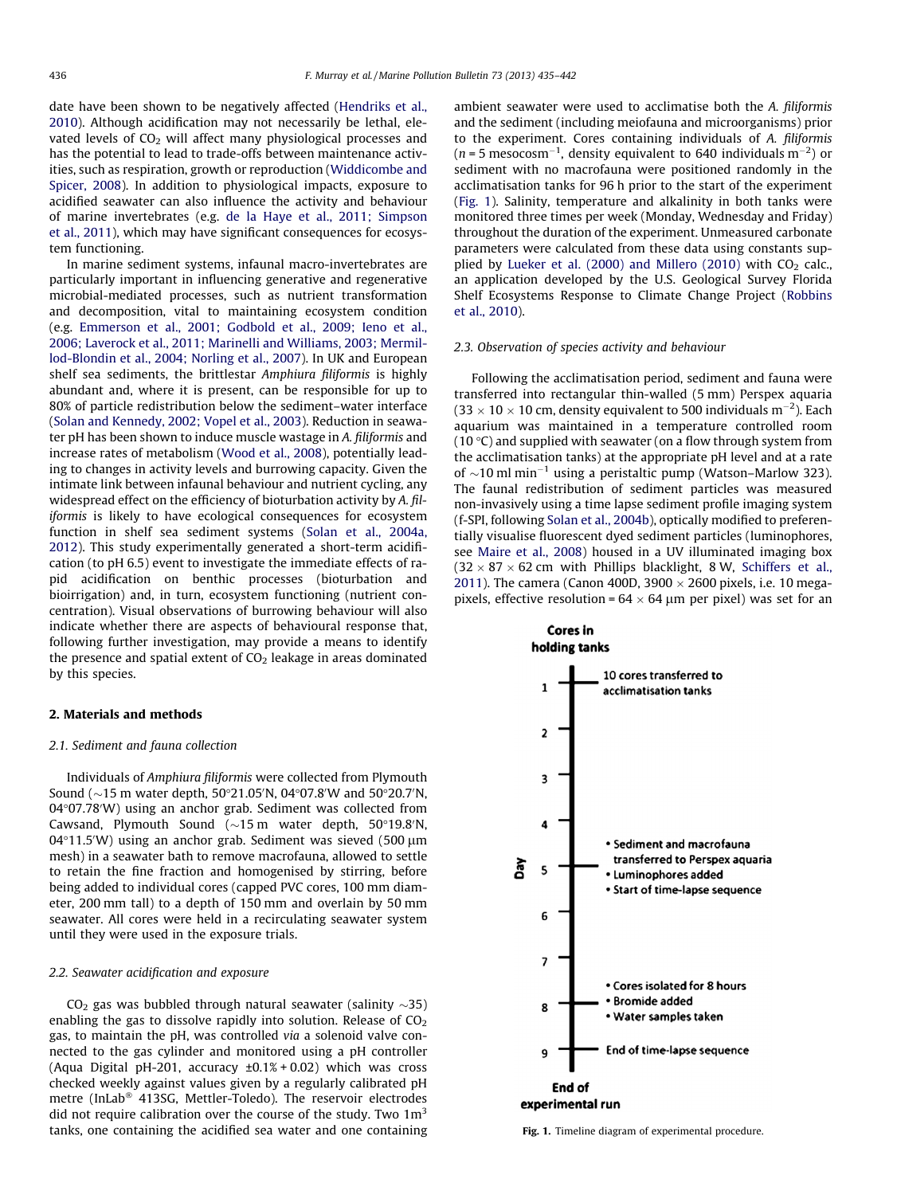date have been shown to be negatively affected [\(Hendriks et al.,](#page-6-0) [2010\)](#page-6-0). Although acidification may not necessarily be lethal, elevated levels of  $CO<sub>2</sub>$  will affect many physiological processes and has the potential to lead to trade-offs between maintenance activities, such as respiration, growth or reproduction ([Widdicombe and](#page-7-0) [Spicer, 2008\)](#page-7-0). In addition to physiological impacts, exposure to acidified seawater can also influence the activity and behaviour of marine invertebrates (e.g. [de la Haye et al., 2011; Simpson](#page-6-0) [et al., 2011](#page-6-0)), which may have significant consequences for ecosystem functioning.

In marine sediment systems, infaunal macro-invertebrates are particularly important in influencing generative and regenerative microbial-mediated processes, such as nutrient transformation and decomposition, vital to maintaining ecosystem condition (e.g. [Emmerson et al., 2001; Godbold et al., 2009; Ieno et al.,](#page-6-0) [2006; Laverock et al., 2011; Marinelli and Williams, 2003; Mermil](#page-6-0)[lod-Blondin et al., 2004; Norling et al., 2007](#page-6-0)). In UK and European shelf sea sediments, the brittlestar Amphiura filiformis is highly abundant and, where it is present, can be responsible for up to 80% of particle redistribution below the sediment–water interface ([Solan and Kennedy, 2002; Vopel et al., 2003](#page-7-0)). Reduction in seawater pH has been shown to induce muscle wastage in A. filiformis and increase rates of metabolism [\(Wood et al., 2008\)](#page-7-0), potentially leading to changes in activity levels and burrowing capacity. Given the intimate link between infaunal behaviour and nutrient cycling, any widespread effect on the efficiency of bioturbation activity by A. filiformis is likely to have ecological consequences for ecosystem function in shelf sea sediment systems ([Solan et al., 2004a,](#page-7-0) [2012\)](#page-7-0). This study experimentally generated a short-term acidification (to pH 6.5) event to investigate the immediate effects of rapid acidification on benthic processes (bioturbation and bioirrigation) and, in turn, ecosystem functioning (nutrient concentration). Visual observations of burrowing behaviour will also indicate whether there are aspects of behavioural response that, following further investigation, may provide a means to identify the presence and spatial extent of  $CO<sub>2</sub>$  leakage in areas dominated by this species.

## 2. Materials and methods

# 2.1. Sediment and fauna collection

Individuals of Amphiura filiformis were collected from Plymouth Sound ( $\sim$ 15 m water depth, 50°21.05′N, 04°07.8′W and 50°20.7′N, 04°07.78'W) using an anchor grab. Sediment was collected from Cawsand, Plymouth Sound  $(\sim 15 \text{ m}$  water depth, 50°19.8'N,  $04^{\circ}11.5'$ W) using an anchor grab. Sediment was sieved (500  $\mu$ m mesh) in a seawater bath to remove macrofauna, allowed to settle to retain the fine fraction and homogenised by stirring, before being added to individual cores (capped PVC cores, 100 mm diameter, 200 mm tall) to a depth of 150 mm and overlain by 50 mm seawater. All cores were held in a recirculating seawater system until they were used in the exposure trials.

# 2.2. Seawater acidification and exposure

CO $_2$  gas was bubbled through natural seawater (salinity  ${\sim}35)$ enabling the gas to dissolve rapidly into solution. Release of  $CO<sub>2</sub>$ gas, to maintain the pH, was controlled via a solenoid valve connected to the gas cylinder and monitored using a pH controller (Aqua Digital pH-201, accuracy  $\pm 0.1\%$  + 0.02) which was cross checked weekly against values given by a regularly calibrated pH metre (InLab<sup>®</sup> 413SG, Mettler-Toledo). The reservoir electrodes did not require calibration over the course of the study. Two  $1m<sup>3</sup>$ tanks, one containing the acidified sea water and one containing ambient seawater were used to acclimatise both the A. filiformis and the sediment (including meiofauna and microorganisms) prior to the experiment. Cores containing individuals of A. filiformis (*n* = 5 mesocosm<sup>-1</sup>, density equivalent to 640 individuals m<sup>-2</sup>) or sediment with no macrofauna were positioned randomly in the acclimatisation tanks for 96 h prior to the start of the experiment (Fig. 1). Salinity, temperature and alkalinity in both tanks were monitored three times per week (Monday, Wednesday and Friday) throughout the duration of the experiment. Unmeasured carbonate parameters were calculated from these data using constants sup-plied by [Lueker et al. \(2000\) and Millero \(2010\)](#page-6-0) with  $CO<sub>2</sub>$  calc., an application developed by the U.S. Geological Survey Florida Shelf Ecosystems Response to Climate Change Project ([Robbins](#page-6-0) [et al., 2010\)](#page-6-0).

# 2.3. Observation of species activity and behaviour

Following the acclimatisation period, sediment and fauna were transferred into rectangular thin-walled (5 mm) Perspex aquaria  $(33 \times 10 \times 10$  cm, density equivalent to 500 individuals m<sup>-2</sup>). Each aquarium was maintained in a temperature controlled room (10  $\degree$ C) and supplied with seawater (on a flow through system from the acclimatisation tanks) at the appropriate pH level and at a rate of  $\sim$ 10 ml min<sup>-1</sup> using a peristaltic pump (Watson–Marlow 323). The faunal redistribution of sediment particles was measured non-invasively using a time lapse sediment profile imaging system (f-SPI, following [Solan et al., 2004b](#page-7-0)), optically modified to preferentially visualise fluorescent dyed sediment particles (luminophores, see [Maire et al., 2008\)](#page-6-0) housed in a UV illuminated imaging box  $(32 \times 87 \times 62$  cm with Phillips blacklight, 8 W, [Schiffers et al.,](#page-7-0) [2011\)](#page-7-0). The camera (Canon 400D, 3900  $\times$  2600 pixels, i.e. 10 megapixels, effective resolution =  $64 \times 64$  µm per pixel) was set for an

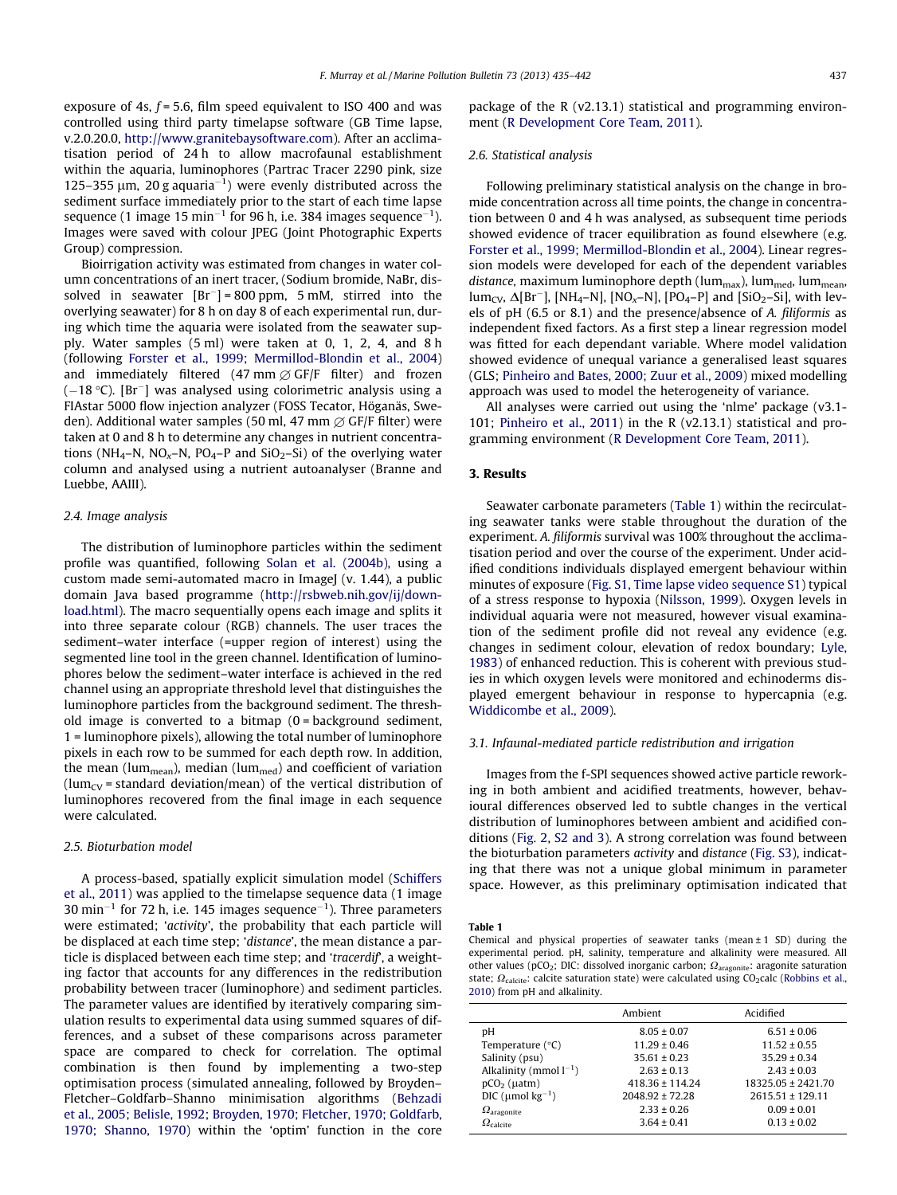exposure of 4s,  $f = 5.6$ , film speed equivalent to ISO 400 and was controlled using third party timelapse software (GB Time lapse, v.2.0.20.0, <http://www.granitebaysoftware.com>). After an acclimatisation period of 24 h to allow macrofaunal establishment within the aquaria, luminophores (Partrac Tracer 2290 pink, size 125-355  $\mu$ m, 20 g aquaria<sup>-1</sup>) were evenly distributed across the sediment surface immediately prior to the start of each time lapse sequence (1 image 15 min $^{-1}$  for 96 h, i.e. 384 images sequence $^{-1}$ ). Images were saved with colour JPEG (Joint Photographic Experts Group) compression.

Bioirrigation activity was estimated from changes in water column concentrations of an inert tracer, (Sodium bromide, NaBr, dissolved in seawater  $[Br^-] = 800$  ppm, 5 mM, stirred into the overlying seawater) for 8 h on day 8 of each experimental run, during which time the aquaria were isolated from the seawater supply. Water samples (5 ml) were taken at 0, 1, 2, 4, and 8 h (following [Forster et al., 1999; Mermillod-Blondin et al., 2004\)](#page-6-0) and immediately filtered (47 mm  $\emptyset$  GF/F filter) and frozen  $(-18 \degree C)$ . [Br<sup>-</sup>] was analysed using colorimetric analysis using a FIAstar 5000 flow injection analyzer (FOSS Tecator, Höganäs, Sweden). Additional water samples (50 ml, 47 mm  $\varnothing$  GF/F filter) were taken at 0 and 8 h to determine any changes in nutrient concentrations (NH<sub>4</sub>–N, NO<sub>x</sub>–N, PO<sub>4</sub>–P and SiO<sub>2</sub>–Si) of the overlying water column and analysed using a nutrient autoanalyser (Branne and Luebbe, AAIII).

#### 2.4. Image analysis

The distribution of luminophore particles within the sediment profile was quantified, following [Solan et al. \(2004b\),](#page-7-0) using a custom made semi-automated macro in ImageJ (v. 1.44), a public domain Java based programme [\(http://rsbweb.nih.gov/ij/down](http://rsbweb.nih.gov/ij/download.html)[load.html\)](http://rsbweb.nih.gov/ij/download.html). The macro sequentially opens each image and splits it into three separate colour (RGB) channels. The user traces the sediment–water interface (=upper region of interest) using the segmented line tool in the green channel. Identification of luminophores below the sediment–water interface is achieved in the red channel using an appropriate threshold level that distinguishes the luminophore particles from the background sediment. The threshold image is converted to a bitmap  $(0 = \text{background} \text{ sediment},$ 1 = luminophore pixels), allowing the total number of luminophore pixels in each row to be summed for each depth row. In addition, the mean (lum<sub>mean</sub>), median (lum<sub>med</sub>) and coefficient of variation (lum<sub>CV</sub> = standard deviation/mean) of the vertical distribution of luminophores recovered from the final image in each sequence were calculated.

### 2.5. Bioturbation model

A process-based, spatially explicit simulation model [\(Schiffers](#page-7-0) [et al., 2011\)](#page-7-0) was applied to the timelapse sequence data (1 image 30 min<sup>-1</sup> for 72 h, i.e. 145 images sequence<sup>-1</sup>). Three parameters were estimated; 'activity', the probability that each particle will be displaced at each time step; 'distance', the mean distance a particle is displaced between each time step; and 'tracerdif', a weighting factor that accounts for any differences in the redistribution probability between tracer (luminophore) and sediment particles. The parameter values are identified by iteratively comparing simulation results to experimental data using summed squares of differences, and a subset of these comparisons across parameter space are compared to check for correlation. The optimal combination is then found by implementing a two-step optimisation process (simulated annealing, followed by Broyden– Fletcher–Goldfarb–Shanno minimisation algorithms ([Behzadi](#page-5-0) [et al., 2005; Belisle, 1992; Broyden, 1970; Fletcher, 1970; Goldfarb,](#page-5-0) [1970; Shanno, 1970\)](#page-5-0) within the 'optim' function in the core package of the R (v2.13.1) statistical and programming environment [\(R Development Core Team, 2011\)](#page-7-0).

#### 2.6. Statistical analysis

Following preliminary statistical analysis on the change in bromide concentration across all time points, the change in concentration between 0 and 4 h was analysed, as subsequent time periods showed evidence of tracer equilibration as found elsewhere (e.g. [Forster et al., 1999; Mermillod-Blondin et al., 2004](#page-6-0)). Linear regression models were developed for each of the dependent variables distance, maximum luminophore depth (lum<sub>max</sub>), lum<sub>med</sub>, lum<sub>mean</sub>,  $\text{lum}_{\text{CV}}$ ,  $\Delta[\text{Br}^{-}]$ ,  $[\text{NH}_4-\text{N}]$ ,  $[\text{NO}_x-\text{N}]$ ,  $[\text{PO}_4-\text{P}]$  and  $[\text{SiO}_2-\text{Si}]$ , with levels of pH (6.5 or 8.1) and the presence/absence of A. filiformis as independent fixed factors. As a first step a linear regression model was fitted for each dependant variable. Where model validation showed evidence of unequal variance a generalised least squares (GLS; [Pinheiro and Bates, 2000; Zuur et al., 2009](#page-6-0)) mixed modelling approach was used to model the heterogeneity of variance.

All analyses were carried out using the 'nlme' package (v3.1- 101; [Pinheiro et al., 2011\)](#page-6-0) in the R (v2.13.1) statistical and programming environment ([R Development Core Team, 2011](#page-7-0)).

#### 3. Results

Seawater carbonate parameters (Table 1) within the recirculating seawater tanks were stable throughout the duration of the experiment. A. filiformis survival was 100% throughout the acclimatisation period and over the course of the experiment. Under acidified conditions individuals displayed emergent behaviour within minutes of exposure (Fig. S1, Time lapse video sequence S1) typical of a stress response to hypoxia [\(Nilsson, 1999](#page-6-0)). Oxygen levels in individual aquaria were not measured, however visual examination of the sediment profile did not reveal any evidence (e.g. changes in sediment colour, elevation of redox boundary; [Lyle,](#page-6-0) [1983\)](#page-6-0) of enhanced reduction. This is coherent with previous studies in which oxygen levels were monitored and echinoderms displayed emergent behaviour in response to hypercapnia (e.g. [Widdicombe et al., 2009](#page-7-0)).

#### 3.1. Infaunal-mediated particle redistribution and irrigation

Images from the f-SPI sequences showed active particle reworking in both ambient and acidified treatments, however, behavioural differences observed led to subtle changes in the vertical distribution of luminophores between ambient and acidified conditions [\(Fig. 2,](#page-3-0) S2 and 3). A strong correlation was found between the bioturbation parameters activity and distance (Fig. S3), indicating that there was not a unique global minimum in parameter space. However, as this preliminary optimisation indicated that

#### Table 1

Chemical and physical properties of seawater tanks (mean  $\pm$  1 SD) during the experimental period. pH, salinity, temperature and alkalinity were measured. All other values (pCO<sub>2</sub>; DIC: dissolved inorganic carbon;  $\Omega_{\text{aragonite}}$ : aragonite saturation state;  $\Omega_{\text{calcite}}$ : calcite saturation state) were calculated using CO<sub>2</sub>calc ([Robbins et al.,](#page-6-0) [2010](#page-6-0)) from pH and alkalinity.

|                                    | Ambient             | Acidified            |
|------------------------------------|---------------------|----------------------|
| рH                                 | $8.05 \pm 0.07$     | $6.51 \pm 0.06$      |
| Temperature $(^{\circ}C)$          | $11.29 \pm 0.46$    | $11.52 \pm 0.55$     |
| Salinity (psu)                     | $35.61 \pm 0.23$    | $35.29 \pm 0.34$     |
| Alkalinity (mmol $l^{-1}$ )        | $2.63 \pm 0.13$     | $2.43 \pm 0.03$      |
| $pCO2$ ( $\mu$ atm)                | $418.36 \pm 114.24$ | 18325.05 ± 2421.70   |
| DIC ( $\mu$ mol kg <sup>-1</sup> ) | $2048.92 \pm 72.28$ | $2615.51 \pm 129.11$ |
| $\Omega_{\text{aragonite}}$        | $2.33 \pm 0.26$     | $0.09 \pm 0.01$      |
| $\Omega_{\text{calrite}}$          | $3.64 \pm 0.41$     | $0.13 \pm 0.02$      |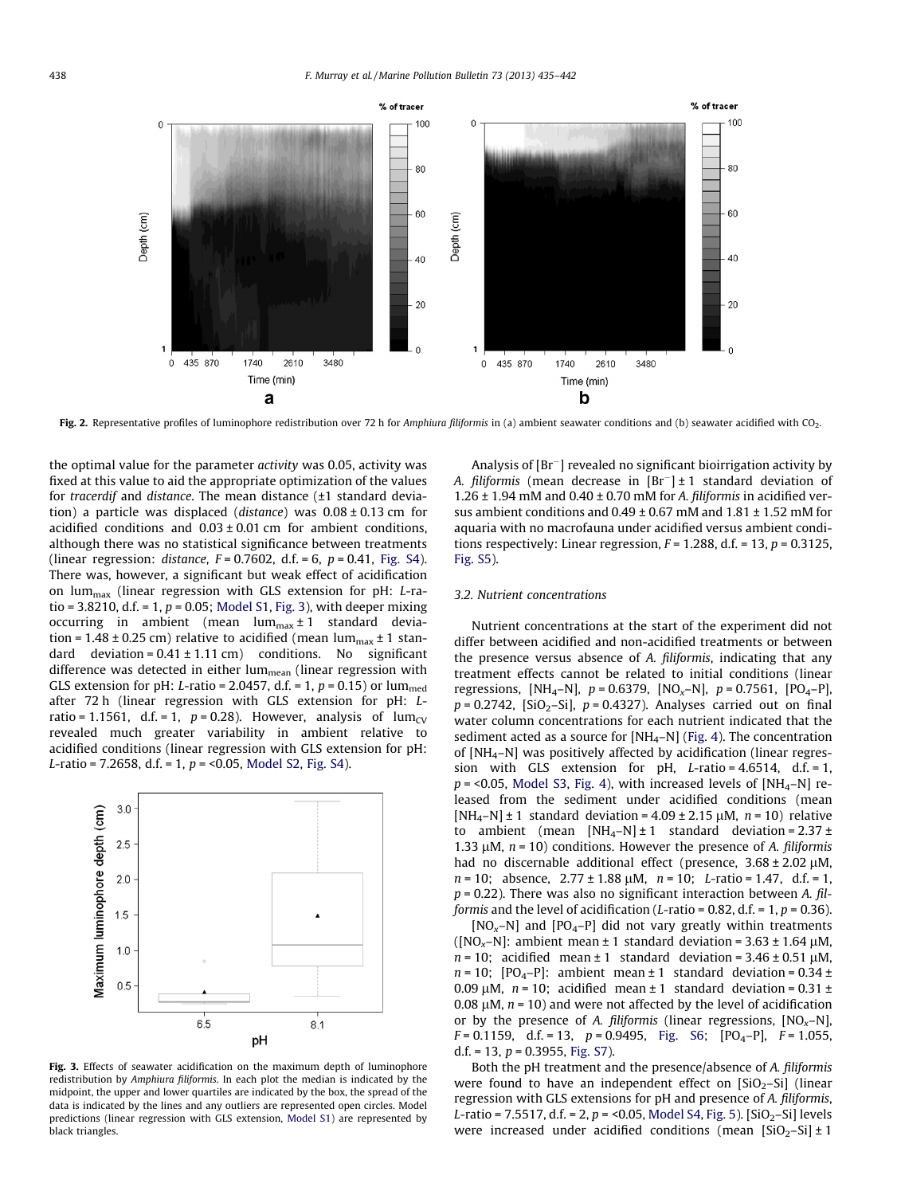<span id="page-3-0"></span>

Fig. 2. Representative profiles of luminophore redistribution over 72 h for Amphiura filiformis in (a) ambient seawater conditions and (b) seawater acidified with CO<sub>2</sub>.

the optimal value for the parameter activity was 0.05, activity was fixed at this value to aid the appropriate optimization of the values for tracerdif and distance. The mean distance (±1 standard deviation) a particle was displaced (*distance*) was  $0.08 \pm 0.13$  cm for acidified conditions and  $0.03 \pm 0.01$  cm for ambient conditions, although there was no statistical significance between treatments (linear regression: *distance*,  $F = 0.7602$ , d.f. = 6,  $p = 0.41$ , Fig. S4). There was, however, a significant but weak effect of acidification on lum $_{\text{max}}$  (linear regression with GLS extension for pH: L-ratio = 3.8210, d.f. = 1,  $p$  = 0.05; Model S1, Fig. 3), with deeper mixing occurring in ambient (mean lum<sub>max</sub>  $\pm$  1 standard deviation = 1.48  $\pm$  0.25 cm) relative to acidified (mean lum<sub>max</sub>  $\pm$  1 standard deviation =  $0.41 \pm 1.11$  cm) conditions. No significant difference was detected in either lum $_{\text{mean}}$  (linear regression with GLS extension for pH: L-ratio = 2.0457, d.f. = 1,  $p$  = 0.15) or lum<sub>med</sub> after 72 h (linear regression with GLS extension for pH: Lratio = 1.1561, d.f. = 1,  $p = 0.28$ ). However, analysis of lum<sub>CV</sub> revealed much greater variability in ambient relative to acidified conditions (linear regression with GLS extension for pH: L-ratio = 7.2658, d.f. = 1,  $p = 0.05$ , Model S2, Fig. S4).



Fig. 3. Effects of seawater acidification on the maximum depth of luminophore redistribution by Amphiura filiformis. In each plot the median is indicated by the midpoint, the upper and lower quartiles are indicated by the box, the spread of the data is indicated by the lines and any outliers are represented open circles. Model predictions (linear regression with GLS extension, Model S1) are represented by black triangles.

Analysis of  $[Br^-]$  revealed no significant bioirrigation activity by A. filiformis (mean decrease in  $[Br^{-}] \pm 1$  standard deviation of 1.26  $\pm$  1.94 mM and 0.40  $\pm$  0.70 mM for A. filiformis in acidified versus ambient conditions and  $0.49 \pm 0.67$  mM and  $1.81 \pm 1.52$  mM for aquaria with no macrofauna under acidified versus ambient conditions respectively: Linear regression,  $F = 1.288$ , d.f. = 13,  $p = 0.3125$ , Fig. S5).

#### 3.2. Nutrient concentrations

Nutrient concentrations at the start of the experiment did not differ between acidified and non-acidified treatments or between the presence versus absence of A. filiformis, indicating that any treatment effects cannot be related to initial conditions (linear regressions, [NH<sub>4</sub>–N],  $p = 0.6379$ , [NO<sub>x</sub>–N],  $p = 0.7561$ , [PO<sub>4</sub>–P],  $p = 0.2742$ , [SiO<sub>2</sub>-Si],  $p = 0.4327$ ). Analyses carried out on final water column concentrations for each nutrient indicated that the sediment acted as a source for  $[NH_4-N]$  ([Fig. 4](#page-4-0)). The concentration of [NH4–N] was positively affected by acidification (linear regression with GLS extension for  $pH$ , *L*-ratio = 4.6514, d.f. = 1,  $p = 0.05$ , Model S3, [Fig. 4\)](#page-4-0), with increased levels of [NH<sub>4</sub>–N] released from the sediment under acidified conditions (mean  $[NH_4-N] \pm 1$  standard deviation = 4.09  $\pm$  2.15 µM, n = 10) relative to ambient (mean  $[NH_4-N] \pm 1$  standard deviation = 2.37  $\pm$ 1.33  $\mu$ M,  $n = 10$ ) conditions. However the presence of A. filiformis had no discernable additional effect (presence,  $3.68 \pm 2.02 \mu M$ ,  $n = 10$ ; absence,  $2.77 \pm 1.88 \mu M$ ,  $n = 10$ ; L-ratio = 1.47, d.f. = 1,  $p = 0.22$ ). There was also no significant interaction between A. filformis and the level of acidification (L-ratio =  $0.82$ , d.f. =  $1, p = 0.36$ ).

 $[NO<sub>x</sub>–N]$  and  $[PO<sub>4</sub>–P]$  did not vary greatly within treatments ( $[NO<sub>x</sub>–N]$ : ambient mean ± 1 standard deviation = 3.63 ± 1.64  $\mu$ M,  $n = 10$ ; acidified mean  $\pm 1$  standard deviation = 3.46  $\pm$  0.51  $\mu$ M,  $n = 10$ ; [PO<sub>4</sub>-P]: ambient mean  $\pm 1$  standard deviation = 0.34  $\pm$ 0.09  $\mu$ M,  $n = 10$ ; acidified mean  $\pm$  1 standard deviation = 0.31  $\pm$ 0.08  $\mu$ M,  $n = 10$ ) and were not affected by the level of acidification or by the presence of A. filiformis (linear regressions,  $[NO<sub>x</sub>–N]$ ,  $F = 0.1159$ , d.f. = 13,  $p = 0.9495$ , Fig. S6;  $[PO<sub>4</sub>-P]$ ,  $F = 1.055$ , d.f. = 13,  $p = 0.3955$ , Fig. S7).

Both the pH treatment and the presence/absence of A. filiformis were found to have an independent effect on  $[SiO<sub>2</sub>-Si]$  (linear regression with GLS extensions for pH and presence of A. filiformis, L-ratio = 7.5517, d.f. = 2,  $p = 0.05$ , Model S4, [Fig. 5\)](#page-4-0). [SiO<sub>2</sub>-Si] levels were increased under acidified conditions (mean  $[SiO<sub>2</sub>-Si] \pm 1$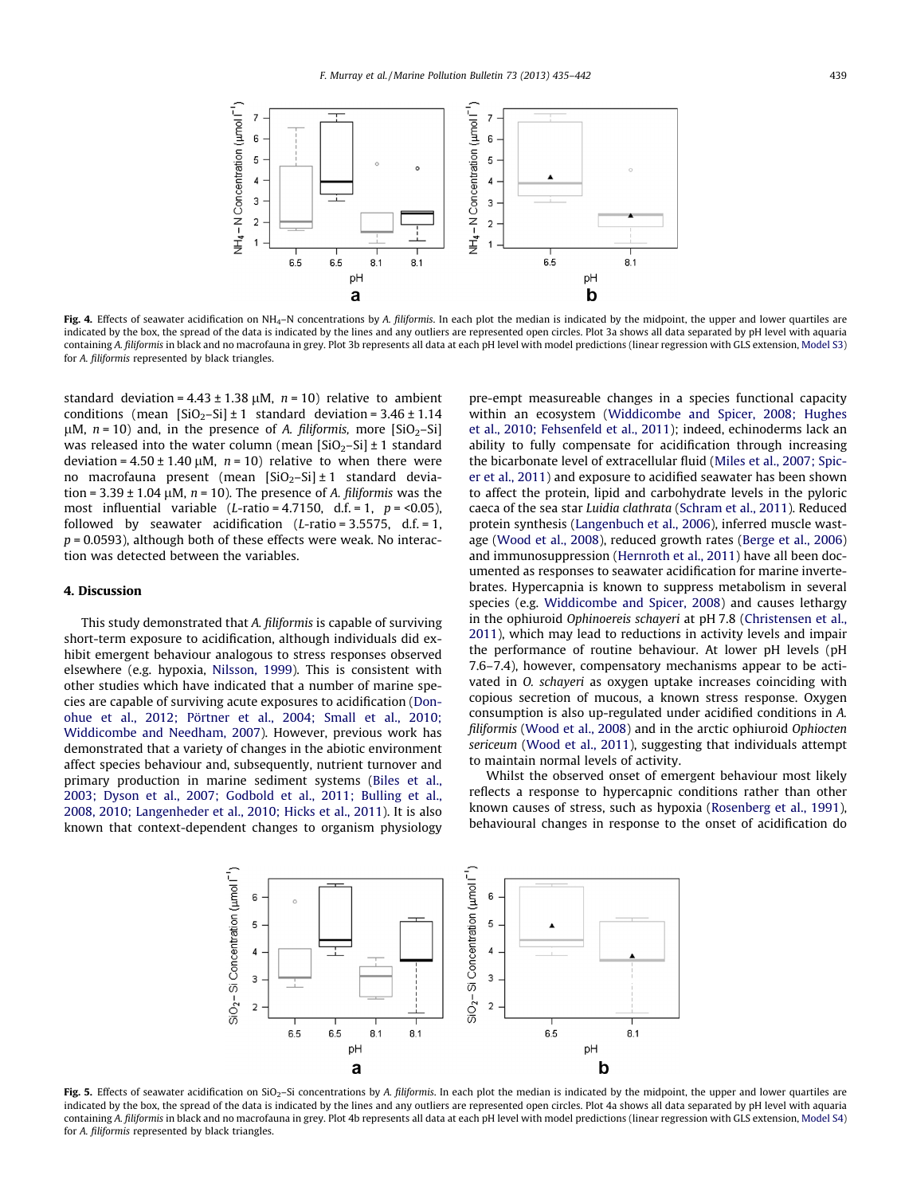<span id="page-4-0"></span>

Fig. 4. Effects of seawater acidification on NH<sub>4</sub>–N concentrations by A. filiformis. In each plot the median is indicated by the midpoint, the upper and lower quartiles are indicated by the box, the spread of the data is indicated by the lines and any outliers are represented open circles. Plot 3a shows all data separated by pH level with aquaria containing A. filiformis in black and no macrofauna in grey. Plot 3b represents all data at each pH level with model predictions (linear regression with GLS extension, Model S3) for A. filiformis represented by black triangles.

standard deviation =  $4.43 \pm 1.38 \mu$ M,  $n = 10$ ) relative to ambient conditions (mean  $[SiO<sub>2</sub>-Si] \pm 1$  standard deviation = 3.46  $\pm$  1.14  $\mu$ M,  $n = 10$ ) and, in the presence of A. filiformis, more [SiO<sub>2</sub>–Si] was released into the water column (mean  $[SiO<sub>2</sub>-Si] \pm 1$  standard deviation =  $4.50 \pm 1.40 \mu M$ ,  $n = 10$ ) relative to when there were no macrofauna present (mean  $[SiO_2-Si] \pm 1$  standard deviation =  $3.39 \pm 1.04 \mu$ M,  $n = 10$ ). The presence of A. filiformis was the most influential variable (L-ratio = 4.7150, d.f. = 1,  $p = 0.05$ ), followed by seawater acidification ( $L$ -ratio = 3.5575, d.f. = 1,  $p = 0.0593$ ), although both of these effects were weak. No interaction was detected between the variables.

### 4. Discussion

This study demonstrated that A. filiformis is capable of surviving short-term exposure to acidification, although individuals did exhibit emergent behaviour analogous to stress responses observed elsewhere (e.g. hypoxia, [Nilsson, 1999](#page-6-0)). This is consistent with other studies which have indicated that a number of marine species are capable of surviving acute exposures to acidification ([Don](#page-6-0)[ohue et al., 2012; Pörtner et al., 2004; Small et al., 2010;](#page-6-0) [Widdicombe and Needham, 2007](#page-6-0)). However, previous work has demonstrated that a variety of changes in the abiotic environment affect species behaviour and, subsequently, nutrient turnover and primary production in marine sediment systems ([Biles et al.,](#page-5-0) [2003; Dyson et al., 2007; Godbold et al., 2011; Bulling et al.,](#page-5-0) [2008, 2010; Langenheder et al., 2010; Hicks et al., 2011](#page-5-0)). It is also known that context-dependent changes to organism physiology

pre-empt measureable changes in a species functional capacity within an ecosystem ([Widdicombe and Spicer, 2008; Hughes](#page-7-0) [et al., 2010; Fehsenfeld et al., 2011](#page-7-0)); indeed, echinoderms lack an ability to fully compensate for acidification through increasing the bicarbonate level of extracellular fluid ([Miles et al., 2007; Spic](#page-6-0)[er et al., 2011\)](#page-6-0) and exposure to acidified seawater has been shown to affect the protein, lipid and carbohydrate levels in the pyloric caeca of the sea star Luidia clathrata ([Schram et al., 2011](#page-7-0)). Reduced protein synthesis [\(Langenbuch et al., 2006\)](#page-6-0), inferred muscle wastage [\(Wood et al., 2008\)](#page-7-0), reduced growth rates [\(Berge et al., 2006\)](#page-5-0) and immunosuppression [\(Hernroth et al., 2011\)](#page-6-0) have all been documented as responses to seawater acidification for marine invertebrates. Hypercapnia is known to suppress metabolism in several species (e.g. [Widdicombe and Spicer, 2008\)](#page-7-0) and causes lethargy in the ophiuroid Ophinoereis schayeri at pH 7.8 ([Christensen et al.,](#page-6-0) [2011](#page-6-0)), which may lead to reductions in activity levels and impair the performance of routine behaviour. At lower pH levels (pH 7.6–7.4), however, compensatory mechanisms appear to be activated in O. schayeri as oxygen uptake increases coinciding with copious secretion of mucous, a known stress response. Oxygen consumption is also up-regulated under acidified conditions in A. filiformis [\(Wood et al., 2008](#page-7-0)) and in the arctic ophiuroid Ophiocten sericeum ([Wood et al., 2011](#page-7-0)), suggesting that individuals attempt to maintain normal levels of activity.

Whilst the observed onset of emergent behaviour most likely reflects a response to hypercapnic conditions rather than other known causes of stress, such as hypoxia ([Rosenberg et al., 1991\)](#page-7-0), behavioural changes in response to the onset of acidification do



Fig. 5. Effects of seawater acidification on SiO<sub>2</sub>–Si concentrations by A. filiformis. In each plot the median is indicated by the midpoint, the upper and lower quartiles are indicated by the box, the spread of the data is indicated by the lines and any outliers are represented open circles. Plot 4a shows all data separated by pH level with aquaria containing A. filiformis in black and no macrofauna in grey. Plot 4b represents all data at each pH level with model predictions (linear regression with GLS extension, Model S4) for A. filiformis represented by black triangles.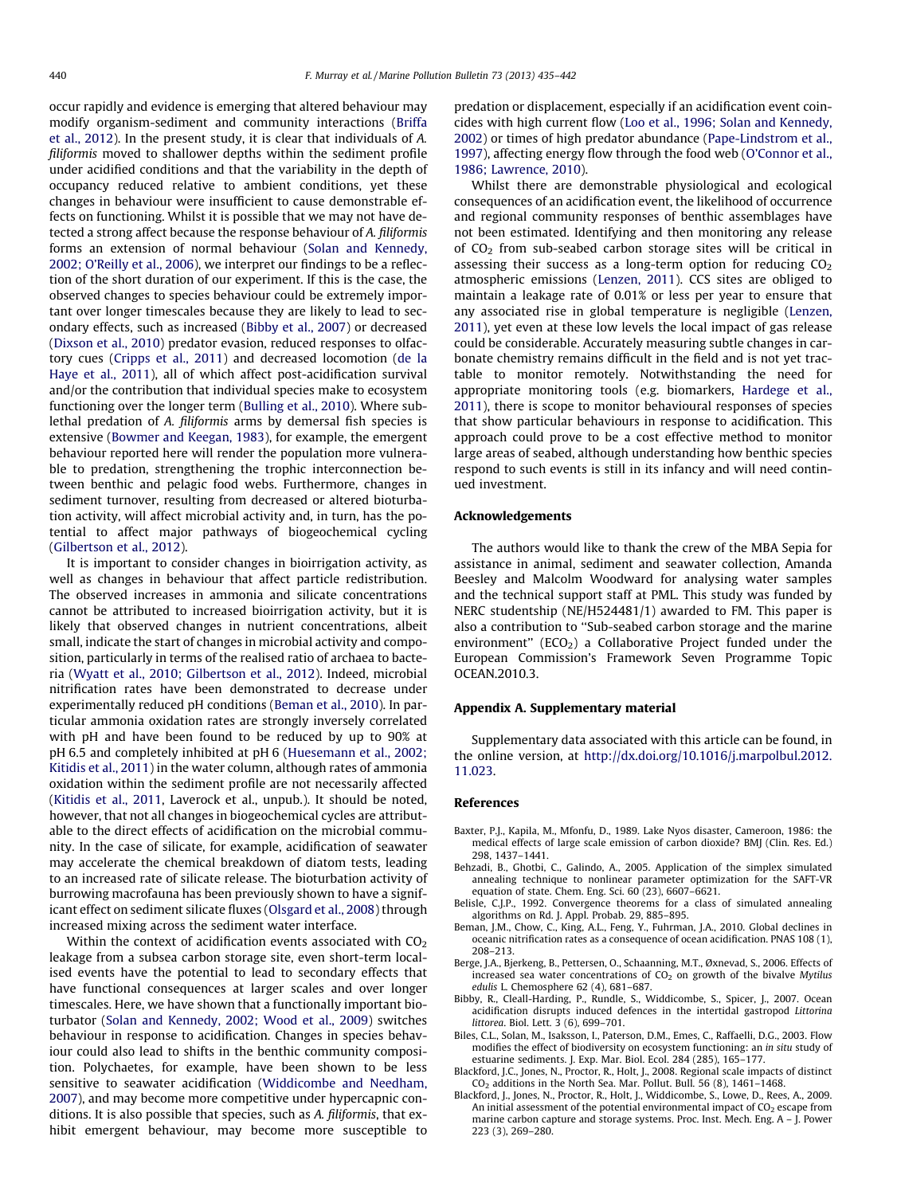<span id="page-5-0"></span>occur rapidly and evidence is emerging that altered behaviour may modify organism-sediment and community interactions [\(Briffa](#page-6-0) [et al., 2012](#page-6-0)). In the present study, it is clear that individuals of A. filiformis moved to shallower depths within the sediment profile under acidified conditions and that the variability in the depth of occupancy reduced relative to ambient conditions, yet these changes in behaviour were insufficient to cause demonstrable effects on functioning. Whilst it is possible that we may not have detected a strong affect because the response behaviour of A. filiformis forms an extension of normal behaviour ([Solan and Kennedy,](#page-7-0) [2002; O'Reilly et al., 2006\)](#page-7-0), we interpret our findings to be a reflection of the short duration of our experiment. If this is the case, the observed changes to species behaviour could be extremely important over longer timescales because they are likely to lead to secondary effects, such as increased (Bibby et al., 2007) or decreased ([Dixson et al., 2010](#page-6-0)) predator evasion, reduced responses to olfactory cues ([Cripps et al., 2011](#page-6-0)) and decreased locomotion [\(de la](#page-6-0) [Haye et al., 2011\)](#page-6-0), all of which affect post-acidification survival and/or the contribution that individual species make to ecosystem functioning over the longer term ([Bulling et al., 2010](#page-6-0)). Where sublethal predation of A. filiformis arms by demersal fish species is extensive [\(Bowmer and Keegan, 1983\)](#page-6-0), for example, the emergent behaviour reported here will render the population more vulnerable to predation, strengthening the trophic interconnection between benthic and pelagic food webs. Furthermore, changes in sediment turnover, resulting from decreased or altered bioturbation activity, will affect microbial activity and, in turn, has the potential to affect major pathways of biogeochemical cycling ([Gilbertson et al., 2012\)](#page-6-0).

It is important to consider changes in bioirrigation activity, as well as changes in behaviour that affect particle redistribution. The observed increases in ammonia and silicate concentrations cannot be attributed to increased bioirrigation activity, but it is likely that observed changes in nutrient concentrations, albeit small, indicate the start of changes in microbial activity and composition, particularly in terms of the realised ratio of archaea to bacteria ([Wyatt et al., 2010; Gilbertson et al., 2012](#page-7-0)). Indeed, microbial nitrification rates have been demonstrated to decrease under experimentally reduced pH conditions (Beman et al., 2010). In particular ammonia oxidation rates are strongly inversely correlated with pH and have been found to be reduced by up to 90% at pH 6.5 and completely inhibited at pH 6 [\(Huesemann et al., 2002;](#page-6-0) [Kitidis et al., 2011](#page-6-0)) in the water column, although rates of ammonia oxidation within the sediment profile are not necessarily affected ([Kitidis et al., 2011](#page-6-0), Laverock et al., unpub.). It should be noted, however, that not all changes in biogeochemical cycles are attributable to the direct effects of acidification on the microbial community. In the case of silicate, for example, acidification of seawater may accelerate the chemical breakdown of diatom tests, leading to an increased rate of silicate release. The bioturbation activity of burrowing macrofauna has been previously shown to have a significant effect on sediment silicate fluxes ([Olsgard et al., 2008\)](#page-6-0) through increased mixing across the sediment water interface.

Within the context of acidification events associated with  $CO<sub>2</sub>$ leakage from a subsea carbon storage site, even short-term localised events have the potential to lead to secondary effects that have functional consequences at larger scales and over longer timescales. Here, we have shown that a functionally important bioturbator [\(Solan and Kennedy, 2002; Wood et al., 2009\)](#page-7-0) switches behaviour in response to acidification. Changes in species behaviour could also lead to shifts in the benthic community composition. Polychaetes, for example, have been shown to be less sensitive to seawater acidification ([Widdicombe and Needham,](#page-7-0) [2007\)](#page-7-0), and may become more competitive under hypercapnic conditions. It is also possible that species, such as A. filiformis, that exhibit emergent behaviour, may become more susceptible to predation or displacement, especially if an acidification event coincides with high current flow [\(Loo et al., 1996; Solan and Kennedy,](#page-6-0) [2002\)](#page-6-0) or times of high predator abundance [\(Pape-Lindstrom et al.,](#page-6-0) [1997\)](#page-6-0), affecting energy flow through the food web ([O'Connor et al.,](#page-6-0) [1986; Lawrence, 2010\)](#page-6-0).

Whilst there are demonstrable physiological and ecological consequences of an acidification event, the likelihood of occurrence and regional community responses of benthic assemblages have not been estimated. Identifying and then monitoring any release of  $CO<sub>2</sub>$  from sub-seabed carbon storage sites will be critical in assessing their success as a long-term option for reducing  $CO<sub>2</sub>$ atmospheric emissions [\(Lenzen, 2011\)](#page-6-0). CCS sites are obliged to maintain a leakage rate of 0.01% or less per year to ensure that any associated rise in global temperature is negligible [\(Lenzen,](#page-6-0) [2011\)](#page-6-0), yet even at these low levels the local impact of gas release could be considerable. Accurately measuring subtle changes in carbonate chemistry remains difficult in the field and is not yet tractable to monitor remotely. Notwithstanding the need for appropriate monitoring tools (e.g. biomarkers, [Hardege et al.,](#page-6-0) [2011\)](#page-6-0), there is scope to monitor behavioural responses of species that show particular behaviours in response to acidification. This approach could prove to be a cost effective method to monitor large areas of seabed, although understanding how benthic species respond to such events is still in its infancy and will need continued investment.

#### Acknowledgements

The authors would like to thank the crew of the MBA Sepia for assistance in animal, sediment and seawater collection, Amanda Beesley and Malcolm Woodward for analysing water samples and the technical support staff at PML. This study was funded by NERC studentship (NE/H524481/1) awarded to FM. This paper is also a contribution to ''Sub-seabed carbon storage and the marine environment" ( $ECO<sub>2</sub>$ ) a Collaborative Project funded under the European Commission's Framework Seven Programme Topic OCEAN.2010.3.

### Appendix A. Supplementary material

Supplementary data associated with this article can be found, in the online version, at [http://dx.doi.org/10.1016/j.marpolbul.2012.](http://dx.doi.org/10.1016/j.marpolbul.2012.11.023) [11.023](http://dx.doi.org/10.1016/j.marpolbul.2012.11.023).

#### References

- Baxter, P.J., Kapila, M., Mfonfu, D., 1989. Lake Nyos disaster, Cameroon, 1986: the medical effects of large scale emission of carbon dioxide? BMJ (Clin. Res. Ed.) 298, 1437–1441.
- Behzadi, B., Ghotbi, C., Galindo, A., 2005. Application of the simplex simulated annealing technique to nonlinear parameter optimization for the SAFT-VR equation of state. Chem. Eng. Sci. 60 (23), 6607–6621.
- Belisle, C.J.P., 1992. Convergence theorems for a class of simulated annealing algorithms on Rd. J. Appl. Probab. 29, 885–895.
- Beman, J.M., Chow, C., King, A.L., Feng, Y., Fuhrman, J.A., 2010. Global declines in oceanic nitrification rates as a consequence of ocean acidification. PNAS 108 (1), 208–213.
- Berge, J.A., Bjerkeng, B., Pettersen, O., Schaanning, M.T., Øxnevad, S., 2006. Effects of increased sea water concentrations of  $CO<sub>2</sub>$  on growth of the bivalve Mytilus edulis L. Chemosphere 62 (4), 681–687.
- Bibby, R., Cleall-Harding, P., Rundle, S., Widdicombe, S., Spicer, J., 2007. Ocean acidification disrupts induced defences in the intertidal gastropod Littorina littorea. Biol. Lett. 3 (6), 699–701.
- Biles, C.L., Solan, M., Isaksson, I., Paterson, D.M., Emes, C., Raffaelli, D.G., 2003. Flow modifies the effect of biodiversity on ecosystem functioning: an in situ study of estuarine sediments. J. Exp. Mar. Biol. Ecol. 284 (285), 165–177.
- Blackford, J.C., Jones, N., Proctor, R., Holt, J., 2008. Regional scale impacts of distinct CO2 additions in the North Sea. Mar. Pollut. Bull. 56 (8), 1461–1468.
- Blackford, J., Jones, N., Proctor, R., Holt, J., Widdicombe, S., Lowe, D., Rees, A., 2009. An initial assessment of the potential environmental impact of  $CO<sub>2</sub>$  escape from marine carbon capture and storage systems. Proc. Inst. Mech. Eng. A – J. Power 223 (3), 269–280.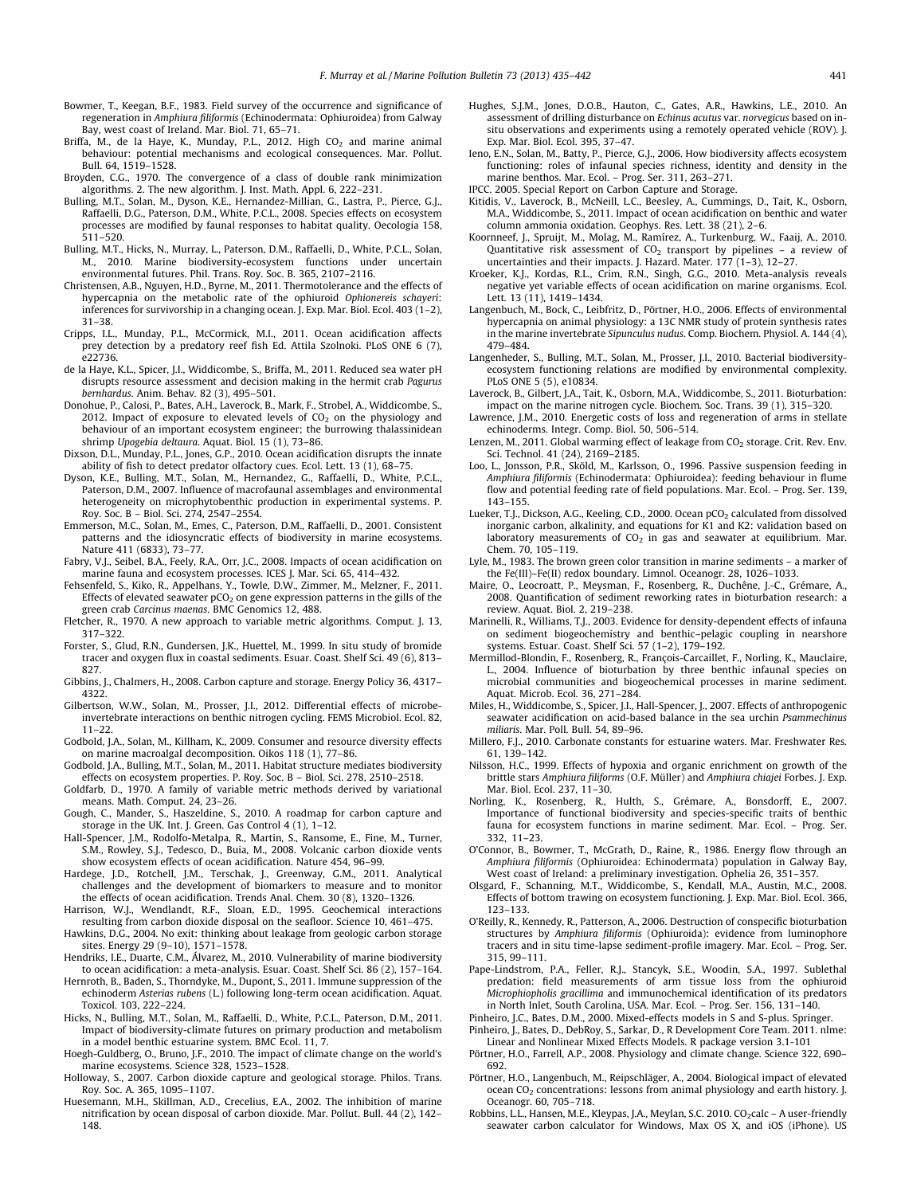- <span id="page-6-0"></span>Bowmer, T., Keegan, B.F., 1983. Field survey of the occurrence and significance of regeneration in Amphiura filiformis (Echinodermata: Ophiuroidea) from Galway Bay, west coast of Ireland. Mar. Biol. 71, 65–71.
- Briffa, M., de la Haye, K., Munday, P.L., 2012. High  $CO<sub>2</sub>$  and marine animal behaviour: potential mechanisms and ecological consequences. Mar. Pollut. Bull. 64, 1519–1528.
- Broyden, C.G., 1970. The convergence of a class of double rank minimization algorithms. 2. The new algorithm. J. Inst. Math. Appl. 6, 222–231.
- Bulling, M.T., Solan, M., Dyson, K.E., Hernandez-Millian, G., Lastra, P., Pierce, G.J., Raffaelli, D.G., Paterson, D.M., White, P.C.L., 2008. Species effects on ecosystem processes are modified by faunal responses to habitat quality. Oecologia 158, 511–520.
- Bulling, M.T., Hicks, N., Murray, L., Paterson, D.M., Raffaelli, D., White, P.C.L., Solan, M., 2010. Marine biodiversity-ecosystem functions under uncertain environmental futures. Phil. Trans. Roy. Soc. B. 365, 2107–2116.
- Christensen, A.B., Nguyen, H.D., Byrne, M., 2011. Thermotolerance and the effects of hypercapnia on the metabolic rate of the ophiuroid Ophionereis schayeri: inferences for survivorship in a changing ocean. J. Exp. Mar. Biol. Ecol. 403 (1–2), 31–38.
- Cripps, I.L., Munday, P.L., McCormick, M.I., 2011. Ocean acidification affects prey detection by a predatory reef fish Ed. Attila Szolnoki. PLoS ONE 6 (7), e22736.
- de la Haye, K.L., Spicer, J.I., Widdicombe, S., Briffa, M., 2011. Reduced sea water pH disrupts resource assessment and decision making in the hermit crab Pagurus bernhardus. Anim. Behav. 82 (3), 495–501.
- Donohue, P., Calosi, P., Bates, A.H., Laverock, B., Mark, F., Strobel, A., Widdicombe, S., 2012. Impact of exposure to elevated levels of  $CO<sub>2</sub>$  on the physiology and behaviour of an important ecosystem engineer; the burrowing thalassinidean shrimp Upogebia deltaura. Aquat. Biol. 15 (1), 73–86.
- Dixson, D.L., Munday, P.L., Jones, G.P., 2010. Ocean acidification disrupts the innate ability of fish to detect predator olfactory cues. Ecol. Lett. 13 (1), 68–75.
- Dyson, K.E., Bulling, M.T., Solan, M., Hernandez, G., Raffaelli, D., White, P.C.L., Paterson, D.M., 2007. Influence of macrofaunal assemblages and environmental heterogeneity on microphytobenthic production in experimental systems. P. Roy. Soc. B – Biol. Sci. 274, 2547–2554.
- Emmerson, M.C., Solan, M., Emes, C., Paterson, D.M., Raffaelli, D., 2001. Consistent patterns and the idiosyncratic effects of biodiversity in marine ecosystems. Nature 411 (6833), 73–77.
- Fabry, V.J., Seibel, B.A., Feely, R.A., Orr, J.C., 2008. Impacts of ocean acidification on marine fauna and ecosystem processes. ICES J. Mar. Sci. 65, 414–432.
- Fehsenfeld, S., Kiko, R., Appelhans, Y., Towle, D.W., Zimmer, M., Melzner, F., 2011. Effects of elevated seawater  $pCO<sub>2</sub>$  on gene expression patterns in the gills of the green crab Carcinus maenas. BMC Genomics 12, 488.
- Fletcher, R., 1970. A new approach to variable metric algorithms. Comput. J. 13, 317–322.
- Forster, S., Glud, R.N., Gundersen, J.K., Huettel, M., 1999. In situ study of bromide tracer and oxygen flux in coastal sediments. Esuar. Coast. Shelf Sci. 49 (6), 813– 827.
- Gibbins, J., Chalmers, H., 2008. Carbon capture and storage. Energy Policy 36, 4317– 4322.
- Gilbertson, W.W., Solan, M., Prosser, J.I., 2012. Differential effects of microbeinvertebrate interactions on benthic nitrogen cycling. FEMS Microbiol. Ecol. 82, 11–22.
- Godbold, J.A., Solan, M., Killham, K., 2009. Consumer and resource diversity effects on marine macroalgal decomposition. Oikos 118 (1), 77–86.
- Godbold, J.A., Bulling, M.T., Solan, M., 2011. Habitat structure mediates biodiversity effects on ecosystem properties. P. Roy. Soc. B – Biol. Sci. 278, 2510–2518.
- Goldfarb, D., 1970. A family of variable metric methods derived by variational means. Math. Comput. 24, 23–26.
- Gough, C., Mander, S., Haszeldine, S., 2010. A roadmap for carbon capture and storage in the UK. Int. J. Green. Gas Control 4 (1), 1–12.
- Hall-Spencer, J.M., Rodolfo-Metalpa, R., Martin, S., Ransome, E., Fine, M., Turner, S.M., Rowley, S.J., Tedesco, D., Buia, M., 2008. Volcanic carbon dioxide vents show ecosystem effects of ocean acidification. Nature 454, 96–99.
- Hardege, J.D., Rotchell, J.M., Terschak, J., Greenway, G.M., 2011. Analytical challenges and the development of biomarkers to measure and to monitor the effects of ocean acidification. Trends Anal. Chem. 30 (8), 1320–1326.
- Harrison, W.J., Wendlandt, R.F., Sloan, E.D., 1995. Geochemical interactions resulting from carbon dioxide disposal on the seafloor. Science 10, 461–475.
- Hawkins, D.G., 2004. No exit: thinking about leakage from geologic carbon storage sites. Energy 29 (9–10), 1571–1578.
- Hendriks, I.E., Duarte, C.M., Álvarez, M., 2010. Vulnerability of marine biodiversity to ocean acidification: a meta-analysis. Esuar. Coast. Shelf Sci. 86 (2), 157–164.
- Hernroth, B., Baden, S., Thorndyke, M., Dupont, S., 2011. Immune suppression of the echinoderm Asterias rubens (L.) following long-term ocean acidification. Aquat. Toxicol. 103, 222–224.
- Hicks, N., Bulling, M.T., Solan, M., Raffaelli, D., White, P.C.L., Paterson, D.M., 2011. Impact of biodiversity-climate futures on primary production and metabolism in a model benthic estuarine system. BMC Ecol. 11, 7.
- Hoegh-Guldberg, O., Bruno, J.F., 2010. The impact of climate change on the world's marine ecosystems. Science 328, 1523–1528.
- Holloway, S., 2007. Carbon dioxide capture and geological storage. Philos. Trans. Roy. Soc. A. 365, 1095–1107.
- Huesemann, M.H., Skillman, A.D., Crecelius, E.A., 2002. The inhibition of marine nitrification by ocean disposal of carbon dioxide. Mar. Pollut. Bull. 44 (2), 142– 148.
- Hughes, S.J.M., Jones, D.O.B., Hauton, C., Gates, A.R., Hawkins, L.E., 2010. An assessment of drilling disturbance on Echinus acutus var. norvegicus based on insitu observations and experiments using a remotely operated vehicle (ROV). J. Exp. Mar. Biol. Ecol. 395, 37–47.
- Ieno, E.N., Solan, M., Batty, P., Pierce, G.J., 2006. How biodiversity affects ecosystem functioning: roles of infaunal species richness, identity and density in the marine benthos. Mar. Ecol. – Prog. Ser. 311, 263–271.
- IPCC. 2005. Special Report on Carbon Capture and Storage.
- Kitidis, V., Laverock, B., McNeill, L.C., Beesley, A., Cummings, D., Tait, K., Osborn, M.A., Widdicombe, S., 2011. Impact of ocean acidification on benthic and water column ammonia oxidation. Geophys. Res. Lett. 38 (21), 2–6.
- Koornneef, J., Spruijt, M., Molag, M., Ramírez, A., Turkenburg, W., Faaij, A., 2010. Quantitative risk assessment of  $CO<sub>2</sub>$  transport by pipelines - a review of uncertainties and their impacts. J. Hazard. Mater.  $177(1-3)$ , 12-27.
- Kroeker, K.J., Kordas, R.L., Crim, R.N., Singh, G.G., 2010. Meta-analysis reveals negative yet variable effects of ocean acidification on marine organisms. Ecol. Lett. 13 (11), 1419–1434.
- Langenbuch, M., Bock, C., Leibfritz, D., Pörtner, H.O., 2006. Effects of environmental hypercapnia on animal physiology: a 13C NMR study of protein synthesis rates in the marine invertebrate Sipunculus nudus. Comp. Biochem. Physiol. A. 144 (4), 479–484.
- Langenheder, S., Bulling, M.T., Solan, M., Prosser, J.I., 2010. Bacterial biodiversityecosystem functioning relations are modified by environmental complexity. PLoS ONE 5 (5), e10834.
- Laverock, B., Gilbert, J.A., Tait, K., Osborn, M.A., Widdicombe, S., 2011. Bioturbation: impact on the marine nitrogen cycle. Biochem. Soc. Trans. 39 (1), 315–320.
- Lawrence, J.M., 2010. Energetic costs of loss and regeneration of arms in stellate echinoderms. Integr. Comp. Biol. 50, 506–514.
- Lenzen, M., 2011. Global warming effect of leakage from  $CO<sub>2</sub>$  storage. Crit. Rev. Env. Sci. Technol. 41 (24), 2169–2185.
- Loo, L., Jonsson, P.R., Sköld, M., Karlsson, O., 1996. Passive suspension feeding in Amphiura filiformis (Echinodermata: Ophiuroidea): feeding behaviour in flume flow and potential feeding rate of field populations. Mar. Ecol. – Prog. Ser. 139, 143–155.
- Lueker, T.J., Dickson, A.G., Keeling, C.D., 2000. Ocean pCO<sub>2</sub> calculated from dissolved inorganic carbon, alkalinity, and equations for K1 and K2: validation based on laboratory measurements of  $CO<sub>2</sub>$  in gas and seawater at equilibrium. Mar. Chem. 70, 105–119.
- Lyle, M., 1983. The brown green color transition in marine sediments a marker of the Fe(III)–Fe(II) redox boundary. Limnol. Oceanogr. 28, 1026–1033.
- Maire, O., Leocroatt, P., Meysman, F., Rosenberg, R., Duchêne, J.-C., Grémare, A., 2008. Quantification of sediment reworking rates in bioturbation research: a review. Aquat. Biol. 2, 219–238.
- Marinelli, R., Williams, T.J., 2003. Evidence for density-dependent effects of infauna on sediment biogeochemistry and benthic–pelagic coupling in nearshore systems. Estuar. Coast. Shelf Sci. 57 (1–2), 179–192.
- Mermillod-Blondin, F., Rosenberg, R., François-Carcaillet, F., Norling, K., Mauclaire, L., 2004. Influence of bioturbation by three benthic infaunal species on microbial communities and biogeochemical processes in marine sediment. Aquat. Microb. Ecol. 36, 271–284.
- Miles, H., Widdicombe, S., Spicer, J.I., Hall-Spencer, J., 2007. Effects of anthropogenic seawater acidification on acid-based balance in the sea urchin *Psammechinus* miliaris. Mar. Poll. Bull. 54, 89–96.
- Millero, F.J., 2010. Carbonate constants for estuarine waters. Mar. Freshwater Res. 61, 139–142.
- Nilsson, H.C., 1999. Effects of hypoxia and organic enrichment on growth of the brittle stars Amphiura filiforms (O.F. Müller) and Amphiura chiajei Forbes. J. Exp. Mar. Biol. Ecol. 237, 11–30.
- Norling, K., Rosenberg, R., Hulth, S., Grémare, A., Bonsdorff, E., 2007. Importance of functional biodiversity and species-specific traits of benthic fauna for ecosystem functions in marine sediment. Mar. Ecol. – Prog. Ser. 332, 11–23.
- O'Connor, B., Bowmer, T., McGrath, D., Raine, R., 1986. Energy flow through an Amphiura filiformis (Ophiuroidea: Echinodermata) population in Galway Bay, West coast of Ireland: a preliminary investigation. Ophelia 26, 351–357.
- Olsgard, F., Schanning, M.T., Widdicombe, S., Kendall, M.A., Austin, M.C., 2008. Effects of bottom trawing on ecosystem functioning. J. Exp. Mar. Biol. Ecol. 366, 123–133.
- O'Reilly, R., Kennedy, R., Patterson, A., 2006. Destruction of conspecific bioturbation structures by Amphiura filiformis (Ophiuroida): evidence from luminophore tracers and in situ time-lapse sediment-profile imagery. Mar. Ecol. – Prog. Ser. 315, 99–111.
- Pape-Lindstrom, P.A., Feller, R.J., Stancyk, S.E., Woodin, S.A., 1997. Sublethal predation: field measurements of arm tissue loss from the ophiuroid Microphiopholis gracillima and immunochemical identification of its predators in North Inlet, South Carolina, USA. Mar. Ecol. – Prog. Ser. 156, 131–140.
- Pinheiro, J.C., Bates, D.M., 2000. Mixed-effects models in S and S-plus. Springer. Pinheiro, J., Bates, D., DebRoy, S., Sarkar, D., R Development Core Team. 2011. nlme:
- Linear and Nonlinear Mixed Effects Models. R package version 3.1-101 Pörtner, H.O., Farrell, A.P., 2008. Physiology and climate change. Science 322, 690–
- 692.
- Pörtner, H.O., Langenbuch, M., Reipschläger, A., 2004. Biological impact of elevated ocean CO<sub>2</sub> concentrations: lessons from animal physiology and earth history. J. Oceanogr. 60, 705–718.
- Robbins, L.L., Hansen, M.E., Kleypas, J.A., Meylan, S.C. 2010. CO<sub>2</sub>calc A user-friendly seawater carbon calculator for Windows, Max OS X, and iOS (iPhone). US